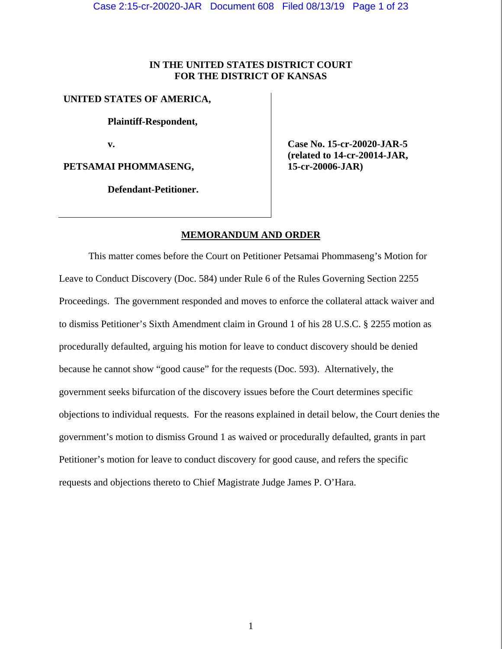# **IN THE UNITED STATES DISTRICT COURT FOR THE DISTRICT OF KANSAS**

# **UNITED STATES OF AMERICA,**

 **Plaintiff-Respondent,** 

 **v.** 

**PETSAMAI PHOMMASENG,** 

 **Defendant-Petitioner.** 

 **Case No. 15-cr-20020-JAR-5 (related to 14-cr-20014-JAR, 15-cr-20006-JAR)** 

# **MEMORANDUM AND ORDER**

 This matter comes before the Court on Petitioner Petsamai Phommaseng's Motion for Leave to Conduct Discovery (Doc. 584) under Rule 6 of the Rules Governing Section 2255 Proceedings. The government responded and moves to enforce the collateral attack waiver and to dismiss Petitioner's Sixth Amendment claim in Ground 1 of his 28 U.S.C. § 2255 motion as procedurally defaulted, arguing his motion for leave to conduct discovery should be denied because he cannot show "good cause" for the requests (Doc. 593). Alternatively, the government seeks bifurcation of the discovery issues before the Court determines specific objections to individual requests. For the reasons explained in detail below, the Court denies the government's motion to dismiss Ground 1 as waived or procedurally defaulted, grants in part Petitioner's motion for leave to conduct discovery for good cause, and refers the specific requests and objections thereto to Chief Magistrate Judge James P. O'Hara.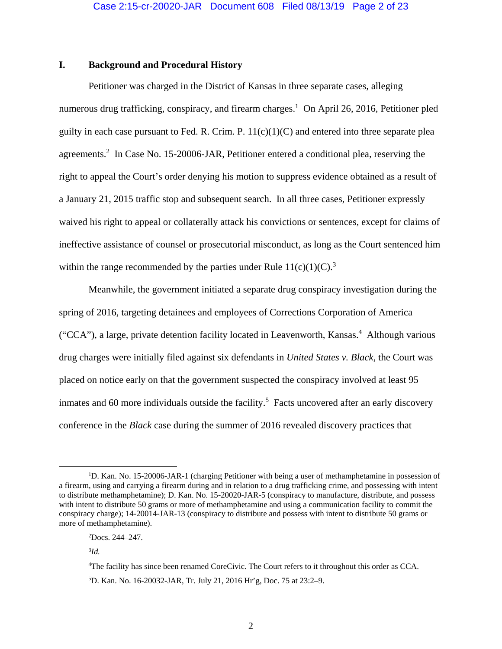# **I. Background and Procedural History**

Petitioner was charged in the District of Kansas in three separate cases, alleging numerous drug trafficking, conspiracy, and firearm charges.<sup>1</sup> On April 26, 2016, Petitioner pled guilty in each case pursuant to Fed. R. Crim. P.  $11(c)(1)(C)$  and entered into three separate plea agreements.<sup>2</sup> In Case No. 15-20006-JAR, Petitioner entered a conditional plea, reserving the right to appeal the Court's order denying his motion to suppress evidence obtained as a result of a January 21, 2015 traffic stop and subsequent search. In all three cases, Petitioner expressly waived his right to appeal or collaterally attack his convictions or sentences, except for claims of ineffective assistance of counsel or prosecutorial misconduct, as long as the Court sentenced him within the range recommended by the parties under Rule  $11(c)(1)(C)^3$ .

Meanwhile, the government initiated a separate drug conspiracy investigation during the spring of 2016, targeting detainees and employees of Corrections Corporation of America ("CCA"), a large, private detention facility located in Leavenworth, Kansas.<sup>4</sup> Although various drug charges were initially filed against six defendants in *United States v. Black*, the Court was placed on notice early on that the government suspected the conspiracy involved at least 95 inmates and 60 more individuals outside the facility.<sup>5</sup> Facts uncovered after an early discovery conference in the *Black* case during the summer of 2016 revealed discovery practices that

<sup>&</sup>lt;u>1</u> <sup>1</sup>D. Kan. No. 15-20006-JAR-1 (charging Petitioner with being a user of methamphetamine in possession of a firearm, using and carrying a firearm during and in relation to a drug trafficking crime, and possessing with intent to distribute methamphetamine); D. Kan. No. 15-20020-JAR-5 (conspiracy to manufacture, distribute, and possess with intent to distribute 50 grams or more of methamphetamine and using a communication facility to commit the conspiracy charge); 14-20014-JAR-13 (conspiracy to distribute and possess with intent to distribute 50 grams or more of methamphetamine).

<sup>2</sup> Docs. 244–247.

<sup>3</sup> *Id.*

<sup>4</sup> The facility has since been renamed CoreCivic. The Court refers to it throughout this order as CCA. 5 D. Kan. No. 16-20032-JAR, Tr. July 21, 2016 Hr'g, Doc. 75 at 23:2–9.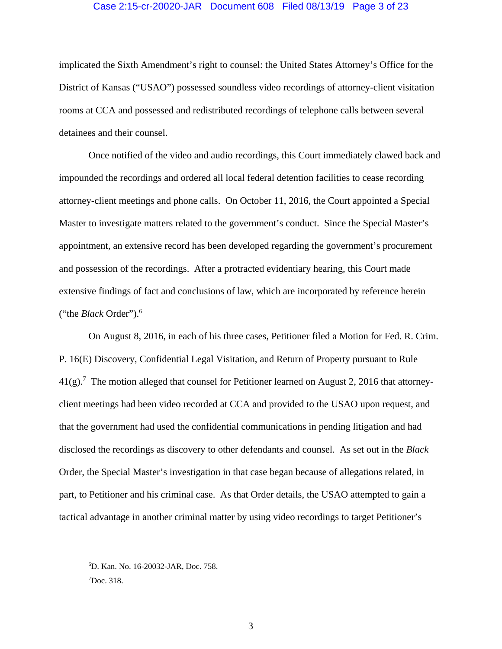#### Case 2:15-cr-20020-JAR Document 608 Filed 08/13/19 Page 3 of 23

implicated the Sixth Amendment's right to counsel: the United States Attorney's Office for the District of Kansas ("USAO") possessed soundless video recordings of attorney-client visitation rooms at CCA and possessed and redistributed recordings of telephone calls between several detainees and their counsel.

Once notified of the video and audio recordings, this Court immediately clawed back and impounded the recordings and ordered all local federal detention facilities to cease recording attorney-client meetings and phone calls. On October 11, 2016, the Court appointed a Special Master to investigate matters related to the government's conduct. Since the Special Master's appointment, an extensive record has been developed regarding the government's procurement and possession of the recordings. After a protracted evidentiary hearing, this Court made extensive findings of fact and conclusions of law, which are incorporated by reference herein ("the *Black* Order").6

On August 8, 2016, in each of his three cases, Petitioner filed a Motion for Fed. R. Crim. P. 16(E) Discovery, Confidential Legal Visitation, and Return of Property pursuant to Rule  $41(g)$ .<sup>7</sup> The motion alleged that counsel for Petitioner learned on August 2, 2016 that attorneyclient meetings had been video recorded at CCA and provided to the USAO upon request, and that the government had used the confidential communications in pending litigation and had disclosed the recordings as discovery to other defendants and counsel. As set out in the *Black*  Order, the Special Master's investigation in that case began because of allegations related, in part, to Petitioner and his criminal case. As that Order details, the USAO attempted to gain a tactical advantage in another criminal matter by using video recordings to target Petitioner's

 <sup>6</sup> D. Kan. No. 16-20032-JAR, Doc. 758.

<sup>7</sup> Doc. 318.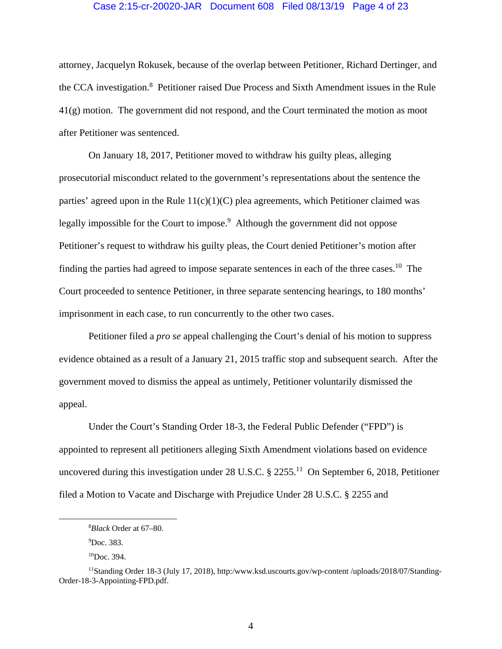#### Case 2:15-cr-20020-JAR Document 608 Filed 08/13/19 Page 4 of 23

attorney, Jacquelyn Rokusek, because of the overlap between Petitioner, Richard Dertinger, and the CCA investigation.<sup>8</sup> Petitioner raised Due Process and Sixth Amendment issues in the Rule 41(g) motion. The government did not respond, and the Court terminated the motion as moot after Petitioner was sentenced.

On January 18, 2017, Petitioner moved to withdraw his guilty pleas, alleging prosecutorial misconduct related to the government's representations about the sentence the parties' agreed upon in the Rule  $11(c)(1)(C)$  plea agreements, which Petitioner claimed was legally impossible for the Court to impose.<sup>9</sup> Although the government did not oppose Petitioner's request to withdraw his guilty pleas, the Court denied Petitioner's motion after finding the parties had agreed to impose separate sentences in each of the three cases.<sup>10</sup> The Court proceeded to sentence Petitioner, in three separate sentencing hearings, to 180 months' imprisonment in each case, to run concurrently to the other two cases.

Petitioner filed a *pro se* appeal challenging the Court's denial of his motion to suppress evidence obtained as a result of a January 21, 2015 traffic stop and subsequent search. After the government moved to dismiss the appeal as untimely, Petitioner voluntarily dismissed the appeal.

Under the Court's Standing Order 18-3, the Federal Public Defender ("FPD") is appointed to represent all petitioners alleging Sixth Amendment violations based on evidence uncovered during this investigation under 28 U.S.C.  $\S$  2255.<sup>11</sup> On September 6, 2018, Petitioner filed a Motion to Vacate and Discharge with Prejudice Under 28 U.S.C. § 2255 and

 $\frac{1}{8}$ *Black* Order at 67–80.

<sup>9</sup> Doc. 383.

<sup>10</sup>Doc. 394.

<sup>11</sup>Standing Order 18-3 (July 17, 2018), http:/www.ksd.uscourts.gov/wp-content /uploads/2018/07/Standing-Order-18-3-Appointing-FPD.pdf.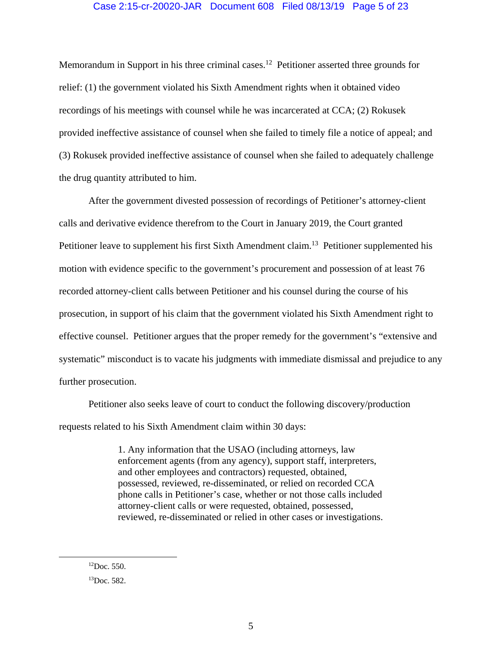### Case 2:15-cr-20020-JAR Document 608 Filed 08/13/19 Page 5 of 23

Memorandum in Support in his three criminal cases.<sup>12</sup> Petitioner asserted three grounds for relief: (1) the government violated his Sixth Amendment rights when it obtained video recordings of his meetings with counsel while he was incarcerated at CCA; (2) Rokusek provided ineffective assistance of counsel when she failed to timely file a notice of appeal; and (3) Rokusek provided ineffective assistance of counsel when she failed to adequately challenge the drug quantity attributed to him.

After the government divested possession of recordings of Petitioner's attorney-client calls and derivative evidence therefrom to the Court in January 2019, the Court granted Petitioner leave to supplement his first Sixth Amendment claim.<sup>13</sup> Petitioner supplemented his motion with evidence specific to the government's procurement and possession of at least 76 recorded attorney-client calls between Petitioner and his counsel during the course of his prosecution, in support of his claim that the government violated his Sixth Amendment right to effective counsel. Petitioner argues that the proper remedy for the government's "extensive and systematic" misconduct is to vacate his judgments with immediate dismissal and prejudice to any further prosecution.

Petitioner also seeks leave of court to conduct the following discovery/production requests related to his Sixth Amendment claim within 30 days:

> 1. Any information that the USAO (including attorneys, law enforcement agents (from any agency), support staff, interpreters, and other employees and contractors) requested, obtained, possessed, reviewed, re-disseminated, or relied on recorded CCA phone calls in Petitioner's case, whether or not those calls included attorney-client calls or were requested, obtained, possessed, reviewed, re-disseminated or relied in other cases or investigations.

 ${}^{12}$ Doc. 550.

<sup>&</sup>lt;sup>13</sup>Doc. 582.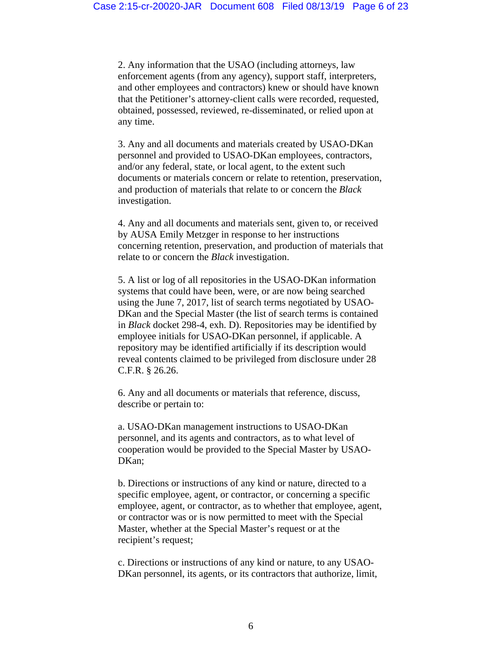2. Any information that the USAO (including attorneys, law enforcement agents (from any agency), support staff, interpreters, and other employees and contractors) knew or should have known that the Petitioner's attorney-client calls were recorded, requested, obtained, possessed, reviewed, re-disseminated, or relied upon at any time.

3. Any and all documents and materials created by USAO-DKan personnel and provided to USAO-DKan employees, contractors, and/or any federal, state, or local agent, to the extent such documents or materials concern or relate to retention, preservation, and production of materials that relate to or concern the *Black*  investigation.

4. Any and all documents and materials sent, given to, or received by AUSA Emily Metzger in response to her instructions concerning retention, preservation, and production of materials that relate to or concern the *Black* investigation.

5. A list or log of all repositories in the USAO-DKan information systems that could have been, were, or are now being searched using the June 7, 2017, list of search terms negotiated by USAO-DKan and the Special Master (the list of search terms is contained in *Black* docket 298-4, exh. D). Repositories may be identified by employee initials for USAO-DKan personnel, if applicable. A repository may be identified artificially if its description would reveal contents claimed to be privileged from disclosure under 28 C.F.R. § 26.26.

6. Any and all documents or materials that reference, discuss, describe or pertain to:

a. USAO-DKan management instructions to USAO-DKan personnel, and its agents and contractors, as to what level of cooperation would be provided to the Special Master by USAO-DKan;

b. Directions or instructions of any kind or nature, directed to a specific employee, agent, or contractor, or concerning a specific employee, agent, or contractor, as to whether that employee, agent, or contractor was or is now permitted to meet with the Special Master, whether at the Special Master's request or at the recipient's request;

c. Directions or instructions of any kind or nature, to any USAO-DKan personnel, its agents, or its contractors that authorize, limit,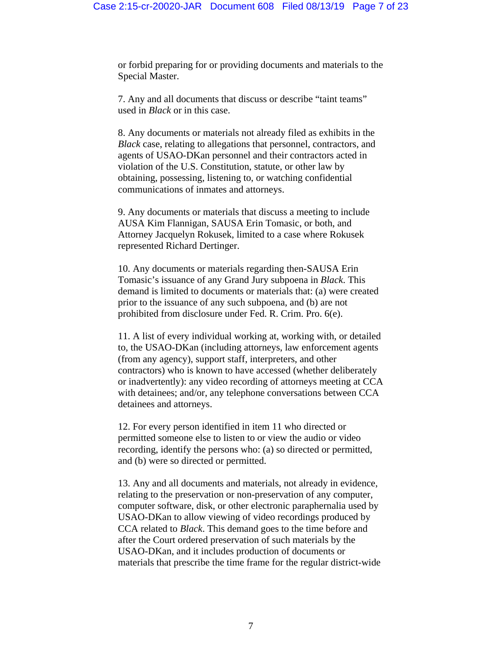or forbid preparing for or providing documents and materials to the Special Master.

7. Any and all documents that discuss or describe "taint teams" used in *Black* or in this case.

8. Any documents or materials not already filed as exhibits in the *Black* case, relating to allegations that personnel, contractors, and agents of USAO-DKan personnel and their contractors acted in violation of the U.S. Constitution, statute, or other law by obtaining, possessing, listening to, or watching confidential communications of inmates and attorneys.

9. Any documents or materials that discuss a meeting to include AUSA Kim Flannigan, SAUSA Erin Tomasic, or both, and Attorney Jacquelyn Rokusek, limited to a case where Rokusek represented Richard Dertinger.

10. Any documents or materials regarding then-SAUSA Erin Tomasic's issuance of any Grand Jury subpoena in *Black*. This demand is limited to documents or materials that: (a) were created prior to the issuance of any such subpoena, and (b) are not prohibited from disclosure under Fed. R. Crim. Pro. 6(e).

11. A list of every individual working at, working with, or detailed to, the USAO-DKan (including attorneys, law enforcement agents (from any agency), support staff, interpreters, and other contractors) who is known to have accessed (whether deliberately or inadvertently): any video recording of attorneys meeting at CCA with detainees; and/or, any telephone conversations between CCA detainees and attorneys.

12. For every person identified in item 11 who directed or permitted someone else to listen to or view the audio or video recording, identify the persons who: (a) so directed or permitted, and (b) were so directed or permitted.

13. Any and all documents and materials, not already in evidence, relating to the preservation or non-preservation of any computer, computer software, disk, or other electronic paraphernalia used by USAO-DKan to allow viewing of video recordings produced by CCA related to *Black*. This demand goes to the time before and after the Court ordered preservation of such materials by the USAO-DKan, and it includes production of documents or materials that prescribe the time frame for the regular district-wide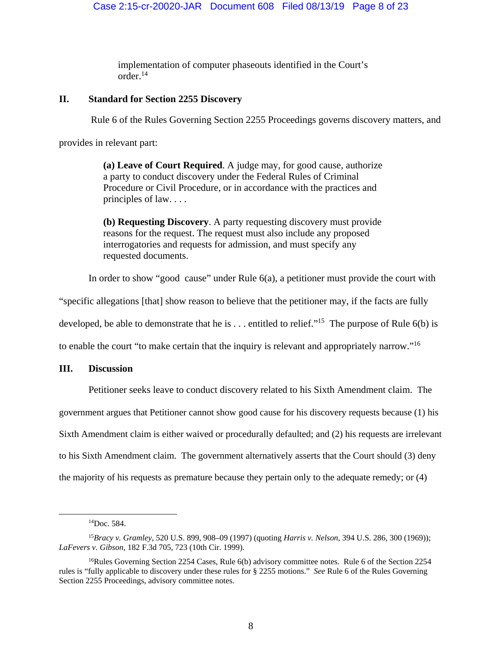implementation of computer phaseouts identified in the Court's order.14

# **II. Standard for Section 2255 Discovery**

Rule 6 of the Rules Governing Section 2255 Proceedings governs discovery matters, and

provides in relevant part:

**(a) Leave of Court Required**. A judge may, for good cause, authorize a party to conduct discovery under the Federal Rules of Criminal Procedure or Civil Procedure, or in accordance with the practices and principles of law. . . .

**(b) Requesting Discovery**. A party requesting discovery must provide reasons for the request. The request must also include any proposed interrogatories and requests for admission, and must specify any requested documents.

In order to show "good cause" under Rule 6(a), a petitioner must provide the court with

"specific allegations [that] show reason to believe that the petitioner may, if the facts are fully

developed, be able to demonstrate that he is  $\dots$  entitled to relief."<sup>15</sup> The purpose of Rule 6(b) is

to enable the court "to make certain that the inquiry is relevant and appropriately narrow."<sup>16</sup>

### **III. Discussion**

Petitioner seeks leave to conduct discovery related to his Sixth Amendment claim. The government argues that Petitioner cannot show good cause for his discovery requests because (1) his Sixth Amendment claim is either waived or procedurally defaulted; and (2) his requests are irrelevant to his Sixth Amendment claim. The government alternatively asserts that the Court should (3) deny the majority of his requests as premature because they pertain only to the adequate remedy; or (4)

14Doc. 584.

<sup>15</sup>*Bracy v. Gramley*, 520 U.S. 899, 908–09 (1997) (quoting *Harris v. Nelson*, 394 U.S. 286, 300 (1969)); *LaFevers v. Gibson*, 182 F.3d 705, 723 (10th Cir. 1999).

<sup>&</sup>lt;sup>16</sup>Rules Governing Section 2254 Cases, Rule 6(b) advisory committee notes. Rule 6 of the Section 2254 rules is "fully applicable to discovery under these rules for § 2255 motions." *See* Rule 6 of the Rules Governing Section 2255 Proceedings, advisory committee notes.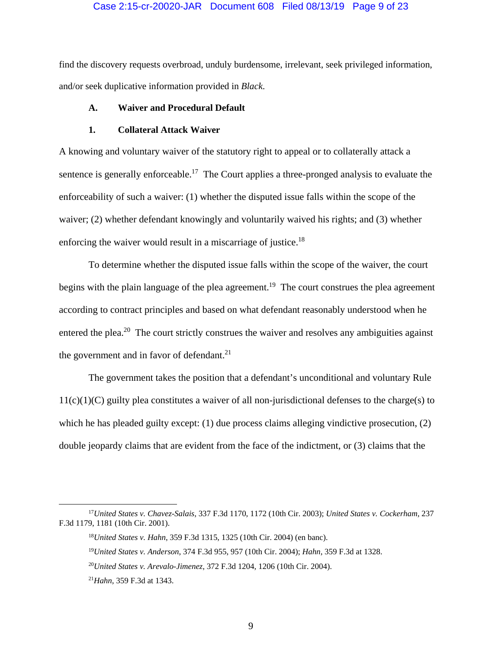#### Case 2:15-cr-20020-JAR Document 608 Filed 08/13/19 Page 9 of 23

find the discovery requests overbroad, unduly burdensome, irrelevant, seek privileged information, and/or seek duplicative information provided in *Black*.

### **A. Waiver and Procedural Default**

#### **1. Collateral Attack Waiver**

A knowing and voluntary waiver of the statutory right to appeal or to collaterally attack a sentence is generally enforceable.<sup>17</sup> The Court applies a three-pronged analysis to evaluate the enforceability of such a waiver: (1) whether the disputed issue falls within the scope of the waiver; (2) whether defendant knowingly and voluntarily waived his rights; and (3) whether enforcing the waiver would result in a miscarriage of justice.<sup>18</sup>

To determine whether the disputed issue falls within the scope of the waiver, the court begins with the plain language of the plea agreement.<sup>19</sup> The court construes the plea agreement according to contract principles and based on what defendant reasonably understood when he entered the plea.<sup>20</sup> The court strictly construes the waiver and resolves any ambiguities against the government and in favor of defendant. $^{21}$ 

The government takes the position that a defendant's unconditional and voluntary Rule 11(c)(1)(C) guilty plea constitutes a waiver of all non-jurisdictional defenses to the charge(s) to which he has pleaded guilty except: (1) due process claims alleging vindictive prosecution, (2) double jeopardy claims that are evident from the face of the indictment, or (3) claims that the

 <sup>17</sup>*United States v. Chavez-Salais*, 337 F.3d 1170, 1172 (10th Cir. 2003); *United States v. Cockerham*, 237 F.3d 1179, 1181 (10th Cir. 2001).

<sup>18</sup>*United States v. Hahn*, 359 F.3d 1315, 1325 (10th Cir. 2004) (en banc).

<sup>19</sup>*United States v. Anderson*, 374 F.3d 955, 957 (10th Cir. 2004); *Hahn*, 359 F.3d at 1328.

<sup>20</sup>*United States v. Arevalo-Jimenez*, 372 F.3d 1204, 1206 (10th Cir. 2004).

<sup>21</sup>*Hahn*, 359 F.3d at 1343.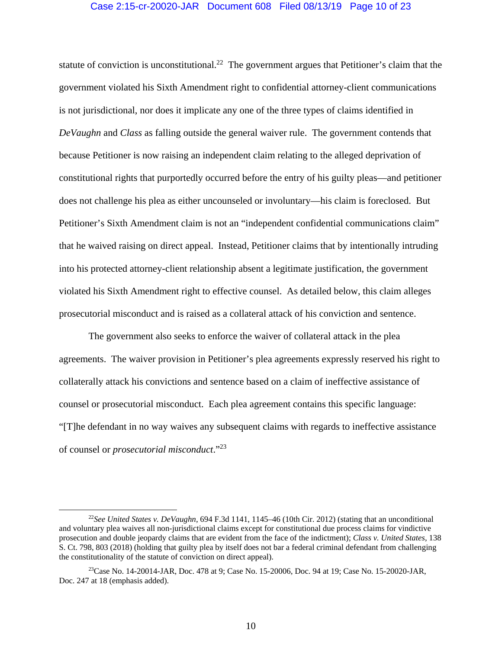#### Case 2:15-cr-20020-JAR Document 608 Filed 08/13/19 Page 10 of 23

statute of conviction is unconstitutional.<sup>22</sup> The government argues that Petitioner's claim that the government violated his Sixth Amendment right to confidential attorney-client communications is not jurisdictional, nor does it implicate any one of the three types of claims identified in *DeVaughn* and *Class* as falling outside the general waiver rule. The government contends that because Petitioner is now raising an independent claim relating to the alleged deprivation of constitutional rights that purportedly occurred before the entry of his guilty pleas—and petitioner does not challenge his plea as either uncounseled or involuntary—his claim is foreclosed. But Petitioner's Sixth Amendment claim is not an "independent confidential communications claim" that he waived raising on direct appeal. Instead, Petitioner claims that by intentionally intruding into his protected attorney-client relationship absent a legitimate justification, the government violated his Sixth Amendment right to effective counsel. As detailed below, this claim alleges prosecutorial misconduct and is raised as a collateral attack of his conviction and sentence.

The government also seeks to enforce the waiver of collateral attack in the plea agreements. The waiver provision in Petitioner's plea agreements expressly reserved his right to collaterally attack his convictions and sentence based on a claim of ineffective assistance of counsel or prosecutorial misconduct. Each plea agreement contains this specific language: "[T]he defendant in no way waives any subsequent claims with regards to ineffective assistance of counsel or *prosecutorial misconduct*."23

 <sup>22</sup>*See United States v. DeVaughn*, 694 F.3d 1141, 1145–46 (10th Cir. 2012) (stating that an unconditional and voluntary plea waives all non-jurisdictional claims except for constitutional due process claims for vindictive prosecution and double jeopardy claims that are evident from the face of the indictment); *Class v. United States*, 138 S. Ct. 798, 803 (2018) (holding that guilty plea by itself does not bar a federal criminal defendant from challenging the constitutionality of the statute of conviction on direct appeal).

 $^{23}$ Case No. 14-20014-JAR, Doc. 478 at 9; Case No. 15-20006, Doc. 94 at 19; Case No. 15-20020-JAR, Doc. 247 at 18 (emphasis added).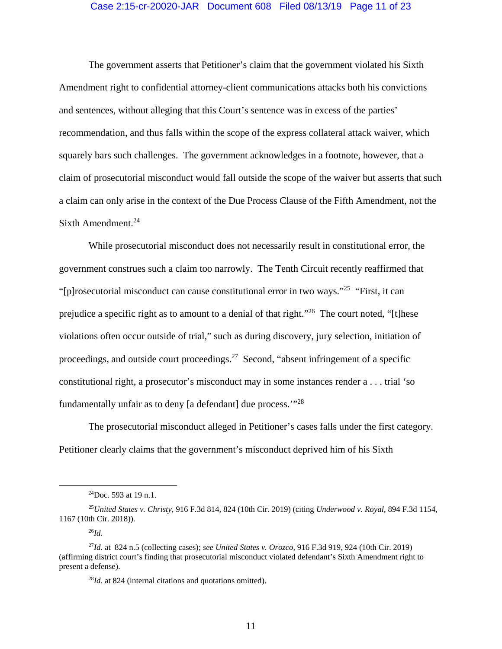### Case 2:15-cr-20020-JAR Document 608 Filed 08/13/19 Page 11 of 23

The government asserts that Petitioner's claim that the government violated his Sixth Amendment right to confidential attorney-client communications attacks both his convictions and sentences, without alleging that this Court's sentence was in excess of the parties' recommendation, and thus falls within the scope of the express collateral attack waiver, which squarely bars such challenges. The government acknowledges in a footnote, however, that a claim of prosecutorial misconduct would fall outside the scope of the waiver but asserts that such a claim can only arise in the context of the Due Process Clause of the Fifth Amendment, not the Sixth Amendment. $24$ 

While prosecutorial misconduct does not necessarily result in constitutional error, the government construes such a claim too narrowly. The Tenth Circuit recently reaffirmed that "[p]rosecutorial misconduct can cause constitutional error in two ways."25 "First, it can prejudice a specific right as to amount to a denial of that right."26 The court noted, "[t]hese violations often occur outside of trial," such as during discovery, jury selection, initiation of proceedings, and outside court proceedings.<sup>27</sup> Second, "absent infringement of a specific constitutional right, a prosecutor's misconduct may in some instances render a . . . trial 'so fundamentally unfair as to deny [a defendant] due process.'"28

The prosecutorial misconduct alleged in Petitioner's cases falls under the first category. Petitioner clearly claims that the government's misconduct deprived him of his Sixth

 <sup>24</sup>Doc. 593 at 19 n.1.

<sup>25</sup>*United States v. Christy*, 916 F.3d 814, 824 (10th Cir. 2019) (citing *Underwood v*. *Royal*, 894 F.3d 1154, 1167 (10th Cir. 2018)).

<sup>26</sup>*Id.* 

<sup>27</sup>*Id.* at 824 n.5 (collecting cases); *see United States v. Orozco*, 916 F.3d 919, 924 (10th Cir. 2019) (affirming district court's finding that prosecutorial misconduct violated defendant's Sixth Amendment right to present a defense).

<sup>28</sup>*Id.* at 824 (internal citations and quotations omitted).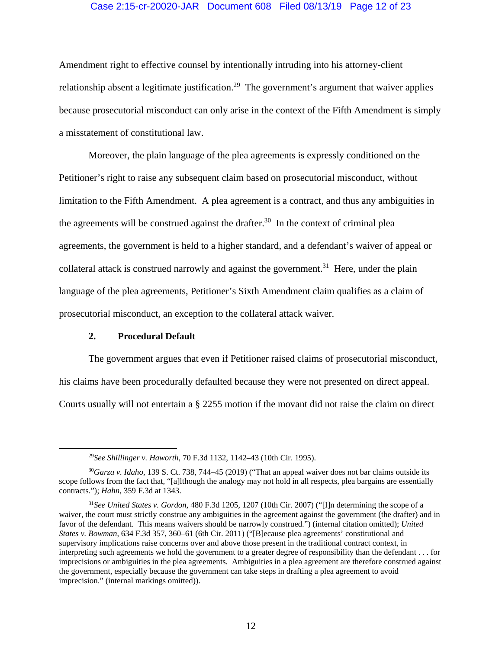### Case 2:15-cr-20020-JAR Document 608 Filed 08/13/19 Page 12 of 23

Amendment right to effective counsel by intentionally intruding into his attorney-client relationship absent a legitimate justification.<sup>29</sup> The government's argument that waiver applies because prosecutorial misconduct can only arise in the context of the Fifth Amendment is simply a misstatement of constitutional law.

Moreover, the plain language of the plea agreements is expressly conditioned on the Petitioner's right to raise any subsequent claim based on prosecutorial misconduct, without limitation to the Fifth Amendment. A plea agreement is a contract, and thus any ambiguities in the agreements will be construed against the drafter.<sup>30</sup> In the context of criminal plea agreements, the government is held to a higher standard, and a defendant's waiver of appeal or collateral attack is construed narrowly and against the government.<sup>31</sup> Here, under the plain language of the plea agreements, Petitioner's Sixth Amendment claim qualifies as a claim of prosecutorial misconduct, an exception to the collateral attack waiver.

#### **2. Procedural Default**

The government argues that even if Petitioner raised claims of prosecutorial misconduct, his claims have been procedurally defaulted because they were not presented on direct appeal. Courts usually will not entertain a § 2255 motion if the movant did not raise the claim on direct

 <sup>29</sup>*See Shillinger v. Haworth*, 70 F.3d 1132, 1142–43 (10th Cir. 1995).

<sup>30</sup>*Garza v. Idaho*, 139 S. Ct. 738, 744–45 (2019) ("That an appeal waiver does not bar claims outside its scope follows from the fact that, "[a]lthough the analogy may not hold in all respects, plea bargains are essentially contracts."); *Hahn*, 359 F.3d at 1343.

<sup>31</sup>*See United States v. Gordon*, 480 F.3d 1205, 1207 (10th Cir. 2007) ("[I]n determining the scope of a waiver, the court must strictly construe any ambiguities in the agreement against the government (the drafter) and in favor of the defendant. This means waivers should be narrowly construed.") (internal citation omitted); *United States v. Bowman*, 634 F.3d 357, 360–61 (6th Cir. 2011) ("[B]ecause plea agreements' constitutional and supervisory implications raise concerns over and above those present in the traditional contract context, in interpreting such agreements we hold the government to a greater degree of responsibility than the defendant . . . for imprecisions or ambiguities in the plea agreements. Ambiguities in a plea agreement are therefore construed against the government, especially because the government can take steps in drafting a plea agreement to avoid imprecision." (internal markings omitted)).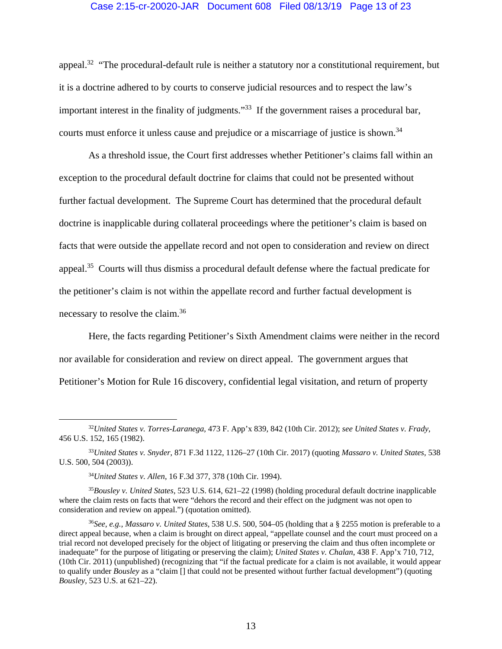### Case 2:15-cr-20020-JAR Document 608 Filed 08/13/19 Page 13 of 23

appeal.<sup>32</sup> "The procedural-default rule is neither a statutory nor a constitutional requirement, but it is a doctrine adhered to by courts to conserve judicial resources and to respect the law's important interest in the finality of judgments."<sup>33</sup> If the government raises a procedural bar, courts must enforce it unless cause and prejudice or a miscarriage of justice is shown.<sup>34</sup>

As a threshold issue, the Court first addresses whether Petitioner's claims fall within an exception to the procedural default doctrine for claims that could not be presented without further factual development. The Supreme Court has determined that the procedural default doctrine is inapplicable during collateral proceedings where the petitioner's claim is based on facts that were outside the appellate record and not open to consideration and review on direct appeal.35 Courts will thus dismiss a procedural default defense where the factual predicate for the petitioner's claim is not within the appellate record and further factual development is necessary to resolve the claim.36

Here, the facts regarding Petitioner's Sixth Amendment claims were neither in the record nor available for consideration and review on direct appeal. The government argues that Petitioner's Motion for Rule 16 discovery, confidential legal visitation, and return of property

<sup>34</sup>*United States v. Allen*, 16 F.3d 377, 378 (10th Cir. 1994).

<sup>35</sup>*Bousley v. United States*, 523 U.S. 614, 621–22 (1998) (holding procedural default doctrine inapplicable where the claim rests on facts that were "dehors the record and their effect on the judgment was not open to consideration and review on appeal.") (quotation omitted).

 <sup>32</sup>*United States v. Torres-Laranega*, 473 F. App'x 839, 842 (10th Cir. 2012); *see United States v. Frady*, 456 U.S. 152, 165 (1982).

<sup>33</sup>*United States v. Snyder*, 871 F.3d 1122, 1126–27 (10th Cir. 2017) (quoting *Massaro v. United States*, 538 U.S. 500, 504 (2003)).

<sup>36</sup>*See, e.g., Massaro v. United States*, 538 U.S. 500, 504–05 (holding that a § 2255 motion is preferable to a direct appeal because, when a claim is brought on direct appeal, "appellate counsel and the court must proceed on a trial record not developed precisely for the object of litigating or preserving the claim and thus often incomplete or inadequate" for the purpose of litigating or preserving the claim); *United States v. Chalan*, 438 F. App'x 710, 712, (10th Cir. 2011) (unpublished) (recognizing that "if the factual predicate for a claim is not available, it would appear to qualify under *Bousley* as a "claim [] that could not be presented without further factual development") (quoting *Bousley*, 523 U.S. at 621–22).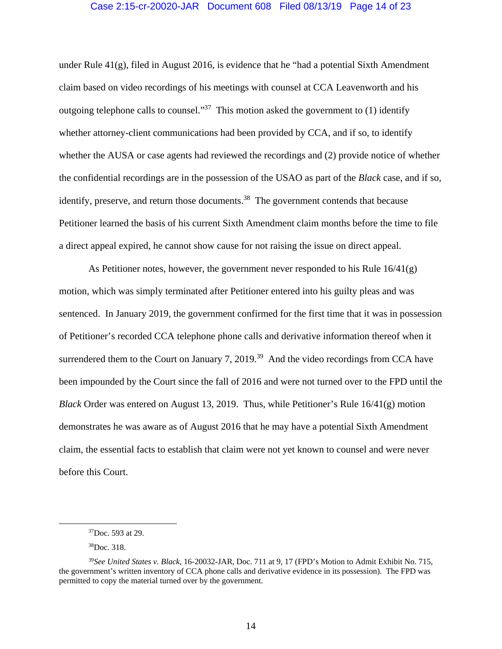### Case 2:15-cr-20020-JAR Document 608 Filed 08/13/19 Page 14 of 23

under Rule 41(g), filed in August 2016, is evidence that he "had a potential Sixth Amendment claim based on video recordings of his meetings with counsel at CCA Leavenworth and his outgoing telephone calls to counsel."<sup>37</sup> This motion asked the government to (1) identify whether attorney-client communications had been provided by CCA, and if so, to identify whether the AUSA or case agents had reviewed the recordings and (2) provide notice of whether the confidential recordings are in the possession of the USAO as part of the *Black* case, and if so, identify, preserve, and return those documents.<sup>38</sup> The government contends that because Petitioner learned the basis of his current Sixth Amendment claim months before the time to file a direct appeal expired, he cannot show cause for not raising the issue on direct appeal.

As Petitioner notes, however, the government never responded to his Rule  $16/41(g)$ motion, which was simply terminated after Petitioner entered into his guilty pleas and was sentenced. In January 2019, the government confirmed for the first time that it was in possession of Petitioner's recorded CCA telephone phone calls and derivative information thereof when it surrendered them to the Court on January 7, 2019.<sup>39</sup> And the video recordings from CCA have been impounded by the Court since the fall of 2016 and were not turned over to the FPD until the *Black* Order was entered on August 13, 2019. Thus, while Petitioner's Rule 16/41(g) motion demonstrates he was aware as of August 2016 that he may have a potential Sixth Amendment claim, the essential facts to establish that claim were not yet known to counsel and were never before this Court.

 $37$ Doc. 593 at 29.

<sup>38</sup>Doc. 318.

<sup>39</sup>*See United States v. Black*, 16-20032-JAR, Doc. 711 at 9, 17 (FPD's Motion to Admit Exhibit No. 715, the government's written inventory of CCA phone calls and derivative evidence in its possession). The FPD was permitted to copy the material turned over by the government.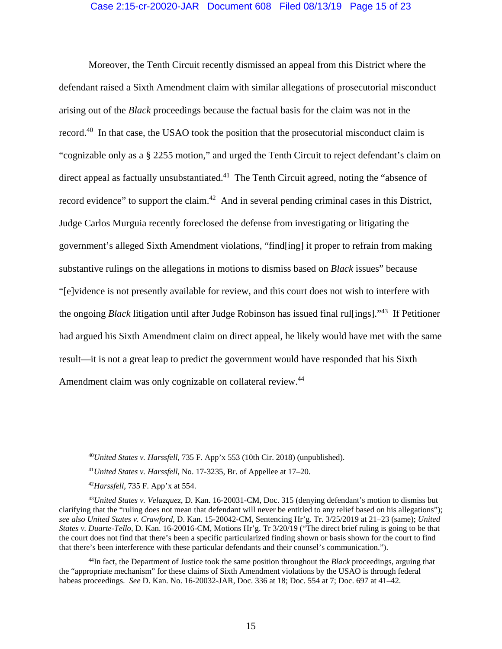### Case 2:15-cr-20020-JAR Document 608 Filed 08/13/19 Page 15 of 23

Moreover, the Tenth Circuit recently dismissed an appeal from this District where the defendant raised a Sixth Amendment claim with similar allegations of prosecutorial misconduct arising out of the *Black* proceedings because the factual basis for the claim was not in the record.<sup>40</sup> In that case, the USAO took the position that the prosecutorial misconduct claim is "cognizable only as a § 2255 motion," and urged the Tenth Circuit to reject defendant's claim on direct appeal as factually unsubstantiated.<sup>41</sup> The Tenth Circuit agreed, noting the "absence of record evidence" to support the claim.<sup>42</sup> And in several pending criminal cases in this District, Judge Carlos Murguia recently foreclosed the defense from investigating or litigating the government's alleged Sixth Amendment violations, "find[ing] it proper to refrain from making substantive rulings on the allegations in motions to dismiss based on *Black* issues" because "[e]vidence is not presently available for review, and this court does not wish to interfere with the ongoing *Black* litigation until after Judge Robinson has issued final rul[ings]."43 If Petitioner had argued his Sixth Amendment claim on direct appeal, he likely would have met with the same result—it is not a great leap to predict the government would have responded that his Sixth Amendment claim was only cognizable on collateral review.<sup>44</sup>

 <sup>40</sup>*United States v. Harssfell*, 735 F. App'x 553 (10th Cir. 2018) (unpublished).

<sup>41</sup>*United States v. Harssfell*, No. 17-3235, Br. of Appellee at 17–20.

<sup>42</sup>*Harssfell*, 735 F. App'x at 554.

<sup>43</sup>*United States v. Velazquez*, D. Kan. 16-20031-CM, Doc. 315 (denying defendant's motion to dismiss but clarifying that the "ruling does not mean that defendant will never be entitled to any relief based on his allegations"); *see also United States v. Crawford*, D. Kan. 15-20042-CM, Sentencing Hr'g. Tr. 3/25/2019 at 21–23 (same); *United States v. Duarte-Tello*, D. Kan. 16-20016-CM, Motions Hr'g. Tr 3/20/19 ("The direct brief ruling is going to be that the court does not find that there's been a specific particularized finding shown or basis shown for the court to find that there's been interference with these particular defendants and their counsel's communication.").

<sup>44</sup>In fact, the Department of Justice took the same position throughout the *Black* proceedings, arguing that the "appropriate mechanism" for these claims of Sixth Amendment violations by the USAO is through federal habeas proceedings. *See* D. Kan. No. 16-20032-JAR, Doc. 336 at 18; Doc. 554 at 7; Doc. 697 at 41–42.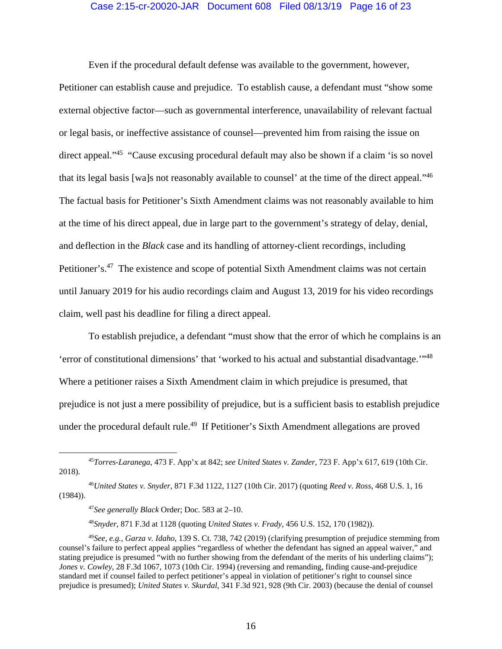### Case 2:15-cr-20020-JAR Document 608 Filed 08/13/19 Page 16 of 23

Even if the procedural default defense was available to the government, however,

Petitioner can establish cause and prejudice. To establish cause, a defendant must "show some external objective factor—such as governmental interference, unavailability of relevant factual or legal basis, or ineffective assistance of counsel—prevented him from raising the issue on direct appeal."<sup>45</sup> "Cause excusing procedural default may also be shown if a claim 'is so novel that its legal basis [wa]s not reasonably available to counsel' at the time of the direct appeal."46 The factual basis for Petitioner's Sixth Amendment claims was not reasonably available to him at the time of his direct appeal, due in large part to the government's strategy of delay, denial, and deflection in the *Black* case and its handling of attorney-client recordings, including Petitioner's.<sup>47</sup> The existence and scope of potential Sixth Amendment claims was not certain until January 2019 for his audio recordings claim and August 13, 2019 for his video recordings claim, well past his deadline for filing a direct appeal.

To establish prejudice, a defendant "must show that the error of which he complains is an 'error of constitutional dimensions' that 'worked to his actual and substantial disadvantage.'"48 Where a petitioner raises a Sixth Amendment claim in which prejudice is presumed, that prejudice is not just a mere possibility of prejudice, but is a sufficient basis to establish prejudice under the procedural default rule.<sup>49</sup> If Petitioner's Sixth Amendment allegations are proved

<sup>48</sup>*Snyder*, 871 F.3d at 1128 (quoting *United States v. Frady*, 456 U.S. 152, 170 (1982)).

 <sup>45</sup>*Torres-Laranega*, 473 F. App'x at 842; *see United States v. Zander*, 723 F. App'x 617, 619 (10th Cir. 2018).

<sup>46</sup>*United States v. Snyder*, 871 F.3d 1122, 1127 (10th Cir. 2017) (quoting *Reed v. Ross*, 468 U.S. 1, 16 (1984)).

<sup>47</sup>*See generally Black* Order; Doc. 583 at 2–10.

<sup>49</sup>*See, e.g., Garza v. Idaho*, 139 S. Ct. 738, 742 (2019) (clarifying presumption of prejudice stemming from counsel's failure to perfect appeal applies "regardless of whether the defendant has signed an appeal waiver," and stating prejudice is presumed "with no further showing from the defendant of the merits of his underling claims"); *Jones v. Cowley*, 28 F.3d 1067, 1073 (10th Cir. 1994) (reversing and remanding, finding cause-and-prejudice standard met if counsel failed to perfect petitioner's appeal in violation of petitioner's right to counsel since prejudice is presumed); *United States v. Skurdal*, 341 F.3d 921, 928 (9th Cir. 2003) (because the denial of counsel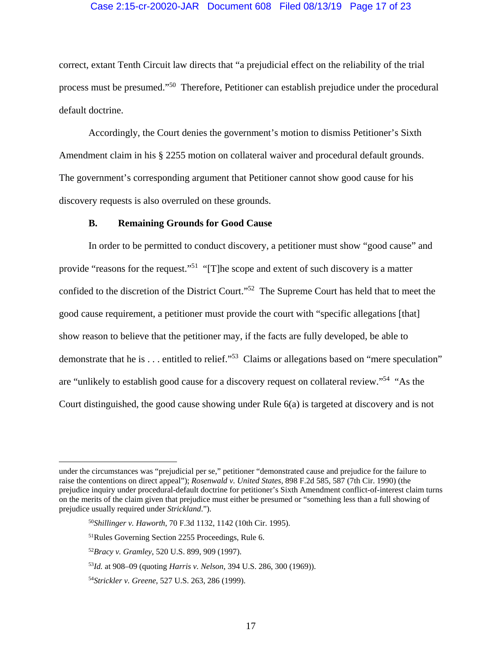### Case 2:15-cr-20020-JAR Document 608 Filed 08/13/19 Page 17 of 23

correct, extant Tenth Circuit law directs that "a prejudicial effect on the reliability of the trial process must be presumed."50 Therefore, Petitioner can establish prejudice under the procedural default doctrine.

Accordingly, the Court denies the government's motion to dismiss Petitioner's Sixth Amendment claim in his § 2255 motion on collateral waiver and procedural default grounds. The government's corresponding argument that Petitioner cannot show good cause for his discovery requests is also overruled on these grounds.

### **B. Remaining Grounds for Good Cause**

In order to be permitted to conduct discovery, a petitioner must show "good cause" and provide "reasons for the request."<sup>51</sup> "[T]he scope and extent of such discovery is a matter confided to the discretion of the District Court."52 The Supreme Court has held that to meet the good cause requirement, a petitioner must provide the court with "specific allegations [that] show reason to believe that the petitioner may, if the facts are fully developed, be able to demonstrate that he is . . . entitled to relief."53 Claims or allegations based on "mere speculation" are "unlikely to establish good cause for a discovery request on collateral review."54 "As the Court distinguished, the good cause showing under Rule 6(a) is targeted at discovery and is not

 $\overline{a}$ 

under the circumstances was "prejudicial per se," petitioner "demonstrated cause and prejudice for the failure to raise the contentions on direct appeal"); *Rosenwald v. United States*, 898 F.2d 585, 587 (7th Cir. 1990) (the prejudice inquiry under procedural-default doctrine for petitioner's Sixth Amendment conflict-of-interest claim turns on the merits of the claim given that prejudice must either be presumed or "something less than a full showing of prejudice usually required under *Strickland*.").

<sup>50</sup>*Shillinger v. Haworth*, 70 F.3d 1132, 1142 (10th Cir. 1995).

<sup>51</sup>Rules Governing Section 2255 Proceedings, Rule 6.

<sup>52</sup>*Bracy v. Gramley*, 520 U.S. 899, 909 (1997).

<sup>53</sup>*Id.* at 908–09 (quoting *Harris v. Nelson*, 394 U.S. 286, 300 (1969)).

<sup>54</sup>*Strickler v. Greene*, 527 U.S. 263, 286 (1999).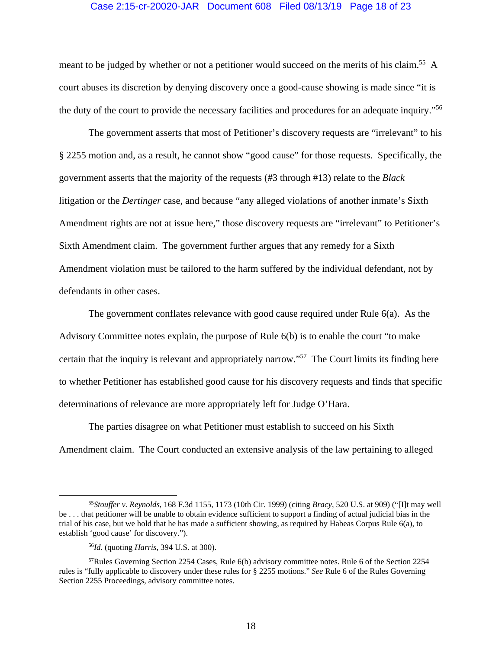#### Case 2:15-cr-20020-JAR Document 608 Filed 08/13/19 Page 18 of 23

meant to be judged by whether or not a petitioner would succeed on the merits of his claim.<sup>55</sup> A court abuses its discretion by denying discovery once a good-cause showing is made since "it is the duty of the court to provide the necessary facilities and procedures for an adequate inquiry."56

The government asserts that most of Petitioner's discovery requests are "irrelevant" to his § 2255 motion and, as a result, he cannot show "good cause" for those requests. Specifically, the government asserts that the majority of the requests (#3 through #13) relate to the *Black*  litigation or the *Dertinger* case, and because "any alleged violations of another inmate's Sixth Amendment rights are not at issue here," those discovery requests are "irrelevant" to Petitioner's Sixth Amendment claim. The government further argues that any remedy for a Sixth Amendment violation must be tailored to the harm suffered by the individual defendant, not by defendants in other cases.

The government conflates relevance with good cause required under Rule 6(a). As the Advisory Committee notes explain, the purpose of Rule 6(b) is to enable the court "to make certain that the inquiry is relevant and appropriately narrow."57 The Court limits its finding here to whether Petitioner has established good cause for his discovery requests and finds that specific determinations of relevance are more appropriately left for Judge O'Hara.

The parties disagree on what Petitioner must establish to succeed on his Sixth Amendment claim. The Court conducted an extensive analysis of the law pertaining to alleged

 <sup>55</sup>*Stouffer v. Reynolds*, 168 F.3d 1155, 1173 (10th Cir. 1999) (citing *Bracy*, 520 U.S. at 909) ("[I]t may well be . . . that petitioner will be unable to obtain evidence sufficient to support a finding of actual judicial bias in the trial of his case, but we hold that he has made a sufficient showing, as required by Habeas Corpus Rule 6(a), to establish 'good cause' for discovery.").

<sup>56</sup>*Id.* (quoting *Harris*, 394 U.S. at 300).

<sup>57</sup>Rules Governing Section 2254 Cases, Rule 6(b) advisory committee notes. Rule 6 of the Section 2254 rules is "fully applicable to discovery under these rules for § 2255 motions." *See* Rule 6 of the Rules Governing Section 2255 Proceedings, advisory committee notes.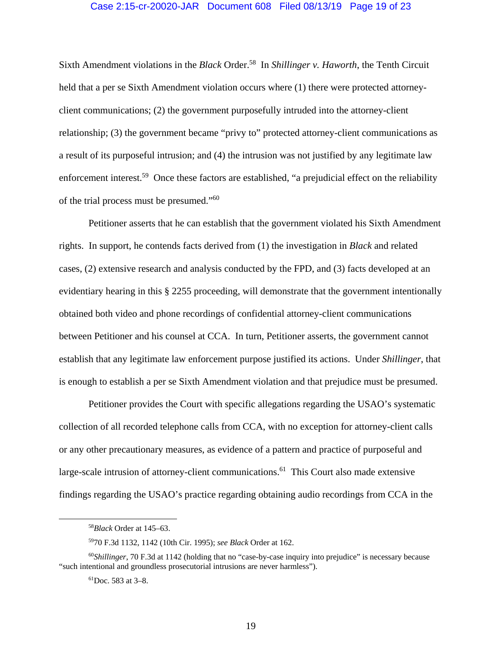#### Case 2:15-cr-20020-JAR Document 608 Filed 08/13/19 Page 19 of 23

Sixth Amendment violations in the *Black* Order.58 In *Shillinger v. Haworth*, the Tenth Circuit held that a per se Sixth Amendment violation occurs where (1) there were protected attorneyclient communications; (2) the government purposefully intruded into the attorney-client relationship; (3) the government became "privy to" protected attorney-client communications as a result of its purposeful intrusion; and (4) the intrusion was not justified by any legitimate law enforcement interest.<sup>59</sup> Once these factors are established, "a prejudicial effect on the reliability of the trial process must be presumed."<sup>60</sup>

Petitioner asserts that he can establish that the government violated his Sixth Amendment rights. In support, he contends facts derived from (1) the investigation in *Black* and related cases, (2) extensive research and analysis conducted by the FPD, and (3) facts developed at an evidentiary hearing in this § 2255 proceeding, will demonstrate that the government intentionally obtained both video and phone recordings of confidential attorney-client communications between Petitioner and his counsel at CCA. In turn, Petitioner asserts, the government cannot establish that any legitimate law enforcement purpose justified its actions. Under *Shillinger*, that is enough to establish a per se Sixth Amendment violation and that prejudice must be presumed.

Petitioner provides the Court with specific allegations regarding the USAO's systematic collection of all recorded telephone calls from CCA, with no exception for attorney-client calls or any other precautionary measures, as evidence of a pattern and practice of purposeful and large-scale intrusion of attorney-client communications.<sup>61</sup> This Court also made extensive findings regarding the USAO's practice regarding obtaining audio recordings from CCA in the

 <sup>58</sup>*Black* Order at 145–63.

<sup>5970</sup> F.3d 1132, 1142 (10th Cir. 1995); *see Black* Order at 162.

<sup>60</sup>*Shillinger*, 70 F.3d at 1142 (holding that no "case-by-case inquiry into prejudice" is necessary because "such intentional and groundless prosecutorial intrusions are never harmless").

 ${}^{61}$ Doc. 583 at 3–8.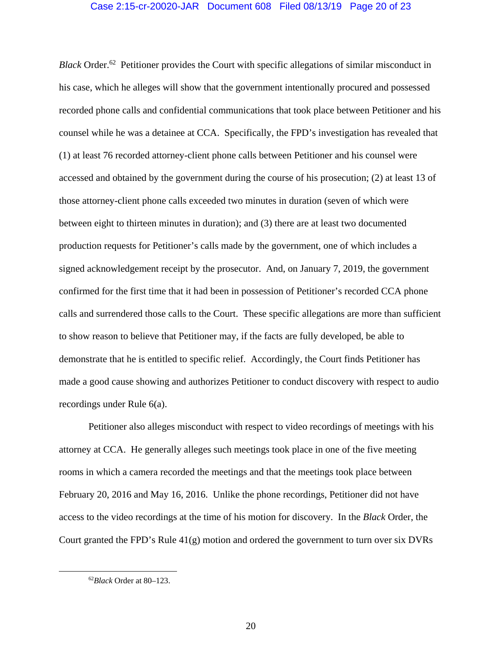*Black* Order.<sup>62</sup> Petitioner provides the Court with specific allegations of similar misconduct in his case, which he alleges will show that the government intentionally procured and possessed recorded phone calls and confidential communications that took place between Petitioner and his counsel while he was a detainee at CCA. Specifically, the FPD's investigation has revealed that (1) at least 76 recorded attorney-client phone calls between Petitioner and his counsel were accessed and obtained by the government during the course of his prosecution; (2) at least 13 of those attorney-client phone calls exceeded two minutes in duration (seven of which were between eight to thirteen minutes in duration); and (3) there are at least two documented production requests for Petitioner's calls made by the government, one of which includes a signed acknowledgement receipt by the prosecutor. And, on January 7, 2019, the government confirmed for the first time that it had been in possession of Petitioner's recorded CCA phone calls and surrendered those calls to the Court. These specific allegations are more than sufficient to show reason to believe that Petitioner may, if the facts are fully developed, be able to demonstrate that he is entitled to specific relief. Accordingly, the Court finds Petitioner has made a good cause showing and authorizes Petitioner to conduct discovery with respect to audio recordings under Rule 6(a).

Petitioner also alleges misconduct with respect to video recordings of meetings with his attorney at CCA. He generally alleges such meetings took place in one of the five meeting rooms in which a camera recorded the meetings and that the meetings took place between February 20, 2016 and May 16, 2016. Unlike the phone recordings, Petitioner did not have access to the video recordings at the time of his motion for discovery. In the *Black* Order, the Court granted the FPD's Rule 41(g) motion and ordered the government to turn over six DVRs

 <sup>62</sup>*Black* Order at 80–123.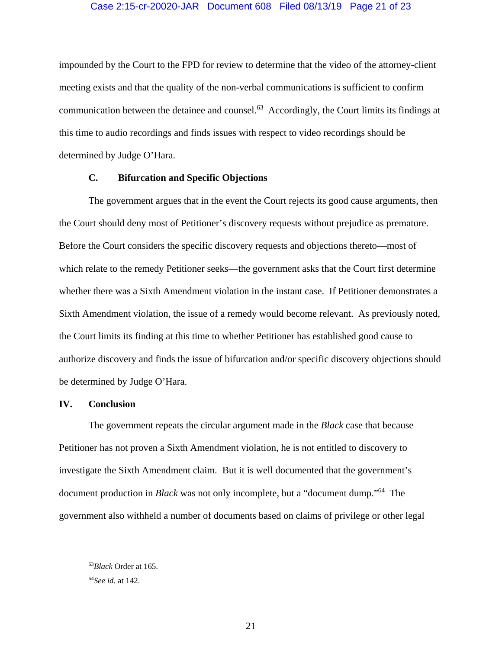impounded by the Court to the FPD for review to determine that the video of the attorney-client meeting exists and that the quality of the non-verbal communications is sufficient to confirm communication between the detainee and counsel.63 Accordingly, the Court limits its findings at this time to audio recordings and finds issues with respect to video recordings should be determined by Judge O'Hara.

### **C. Bifurcation and Specific Objections**

The government argues that in the event the Court rejects its good cause arguments, then the Court should deny most of Petitioner's discovery requests without prejudice as premature. Before the Court considers the specific discovery requests and objections thereto—most of which relate to the remedy Petitioner seeks—the government asks that the Court first determine whether there was a Sixth Amendment violation in the instant case. If Petitioner demonstrates a Sixth Amendment violation, the issue of a remedy would become relevant. As previously noted, the Court limits its finding at this time to whether Petitioner has established good cause to authorize discovery and finds the issue of bifurcation and/or specific discovery objections should be determined by Judge O'Hara.

#### **IV. Conclusion**

The government repeats the circular argument made in the *Black* case that because Petitioner has not proven a Sixth Amendment violation, he is not entitled to discovery to investigate the Sixth Amendment claim. But it is well documented that the government's document production in *Black* was not only incomplete, but a "document dump."64 The government also withheld a number of documents based on claims of privilege or other legal

 <sup>63</sup>*Black* Order at 165.

<sup>64</sup>*See id.* at 142.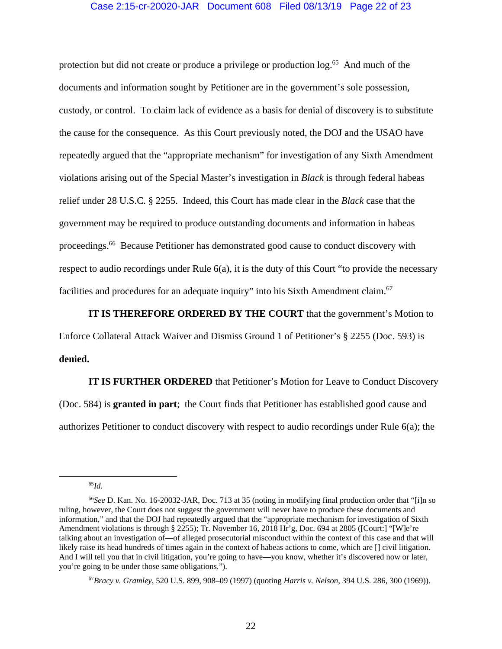### Case 2:15-cr-20020-JAR Document 608 Filed 08/13/19 Page 22 of 23

protection but did not create or produce a privilege or production log.<sup>65</sup> And much of the documents and information sought by Petitioner are in the government's sole possession, custody, or control. To claim lack of evidence as a basis for denial of discovery is to substitute the cause for the consequence. As this Court previously noted, the DOJ and the USAO have repeatedly argued that the "appropriate mechanism" for investigation of any Sixth Amendment violations arising out of the Special Master's investigation in *Black* is through federal habeas relief under 28 U.S.C. § 2255. Indeed, this Court has made clear in the *Black* case that the government may be required to produce outstanding documents and information in habeas proceedings.66 Because Petitioner has demonstrated good cause to conduct discovery with respect to audio recordings under Rule 6(a), it is the duty of this Court "to provide the necessary facilities and procedures for an adequate inquiry" into his Sixth Amendment claim.<sup>67</sup>

**IT IS THEREFORE ORDERED BY THE COURT** that the government's Motion to Enforce Collateral Attack Waiver and Dismiss Ground 1 of Petitioner's § 2255 (Doc. 593) is **denied.** 

**IT IS FURTHER ORDERED** that Petitioner's Motion for Leave to Conduct Discovery (Doc. 584) is **granted in part**; the Court finds that Petitioner has established good cause and authorizes Petitioner to conduct discovery with respect to audio recordings under Rule 6(a); the

65*Id.* 

<sup>67</sup>*Bracy v. Gramley*, 520 U.S. 899, 908–09 (1997) (quoting *Harris v. Nelson*, 394 U.S. 286, 300 (1969)).

<sup>66</sup>*See* D. Kan. No. 16-20032-JAR, Doc. 713 at 35 (noting in modifying final production order that "[i]n so ruling, however, the Court does not suggest the government will never have to produce these documents and information," and that the DOJ had repeatedly argued that the "appropriate mechanism for investigation of Sixth Amendment violations is through § 2255); Tr. November 16, 2018 Hr'g, Doc. 694 at 2805 ([Court:] "[W]e're talking about an investigation of—of alleged prosecutorial misconduct within the context of this case and that will likely raise its head hundreds of times again in the context of habeas actions to come, which are [] civil litigation. And I will tell you that in civil litigation, you're going to have—you know, whether it's discovered now or later, you're going to be under those same obligations.").